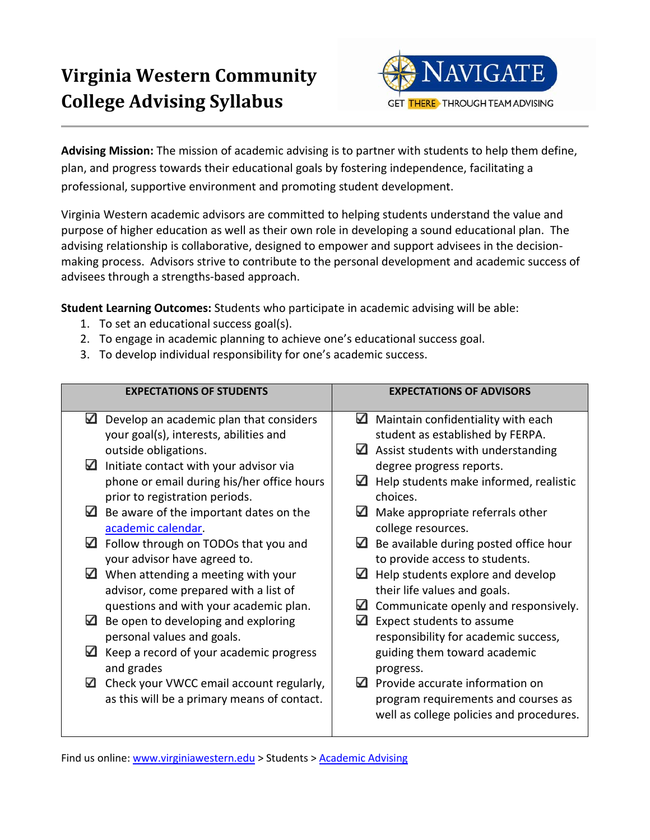# **Virginia Western Community College Advising Syllabus**



**Advising Mission:** The mission of academic advising is to partner with students to help them define, plan, and progress towards their educational goals by fostering independence, facilitating a professional, supportive environment and promoting student development.

Virginia Western academic advisors are committed to helping students understand the value and purpose of higher education as well as their own role in developing a sound educational plan. The advising relationship is collaborative, designed to empower and support advisees in the decisionmaking process. Advisors strive to contribute to the personal development and academic success of advisees through a strengths-based approach.

**Student Learning Outcomes:** Students who participate in academic advising will be able:

- 1. To set an educational success goal(s).
- 2. To engage in academic planning to achieve one's educational success goal.
- 3. To develop individual responsibility for one's academic success.

| <b>EXPECTATIONS OF STUDENTS</b> |                                             | <b>EXPECTATIONS OF ADVISORS</b> |                                          |  |
|---------------------------------|---------------------------------------------|---------------------------------|------------------------------------------|--|
| ✓                               | Develop an academic plan that considers     | ✓                               | Maintain confidentiality with each       |  |
|                                 | your goal(s), interests, abilities and      |                                 | student as established by FERPA.         |  |
|                                 | outside obligations.                        | ⊻                               | Assist students with understanding       |  |
| ✓                               | Initiate contact with your advisor via      |                                 | degree progress reports.                 |  |
|                                 | phone or email during his/her office hours  | ⊻                               | Help students make informed, realistic   |  |
|                                 | prior to registration periods.              |                                 | choices.                                 |  |
| ⊻                               | Be aware of the important dates on the      | ⊻                               | Make appropriate referrals other         |  |
|                                 | academic calendar.                          |                                 | college resources.                       |  |
| ✓                               | Follow through on TODOs that you and        | ✓                               | Be available during posted office hour   |  |
|                                 | your advisor have agreed to.                |                                 | to provide access to students.           |  |
| ⊻                               | When attending a meeting with your          | ✓                               | Help students explore and develop        |  |
|                                 | advisor, come prepared with a list of       |                                 | their life values and goals.             |  |
|                                 | questions and with your academic plan.      |                                 | Communicate openly and responsively.     |  |
| ⊻                               | Be open to developing and exploring         | ✓                               | Expect students to assume                |  |
|                                 | personal values and goals.                  |                                 | responsibility for academic success,     |  |
| ⊻                               | Keep a record of your academic progress     |                                 | guiding them toward academic             |  |
|                                 | and grades                                  |                                 | progress.                                |  |
| $\checkmark$                    | Check your VWCC email account regularly,    | ✓                               | Provide accurate information on          |  |
|                                 | as this will be a primary means of contact. |                                 | program requirements and courses as      |  |
|                                 |                                             |                                 | well as college policies and procedures. |  |
|                                 |                                             |                                 |                                          |  |